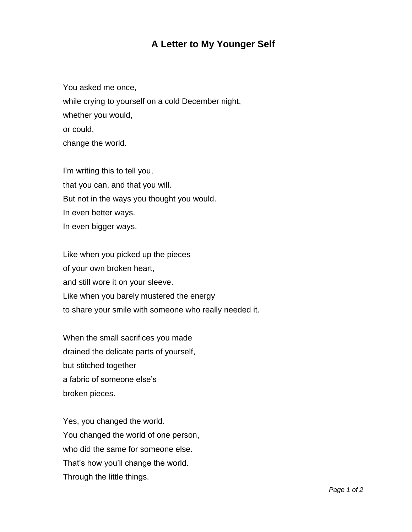## **A Letter to My Younger Self**

You asked me once, while crying to yourself on a cold December night, whether you would, or could, change the world.

I'm writing this to tell you, that you can, and that you will. But not in the ways you thought you would. In even better ways. In even bigger ways.

Like when you picked up the pieces of your own broken heart, and still wore it on your sleeve. Like when you barely mustered the energy to share your smile with someone who really needed it.

When the small sacrifices you made drained the delicate parts of yourself, but stitched together a fabric of someone else's broken pieces.

Yes, you changed the world. You changed the world of one person, who did the same for someone else. That's how you'll change the world. Through the little things.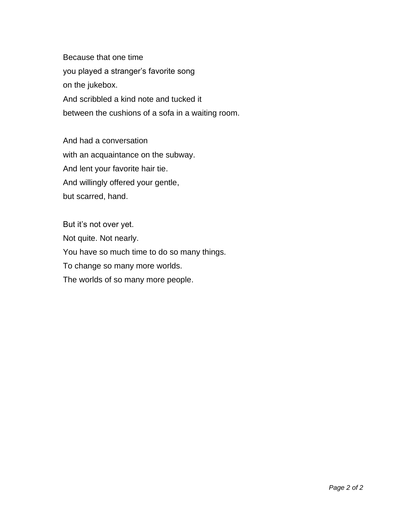Because that one time you played a stranger's favorite song on the jukebox. And scribbled a kind note and tucked it between the cushions of a sofa in a waiting room.

And had a conversation with an acquaintance on the subway. And lent your favorite hair tie. And willingly offered your gentle, but scarred, hand.

But it's not over yet. Not quite. Not nearly. You have so much time to do so many things. To change so many more worlds. The worlds of so many more people.